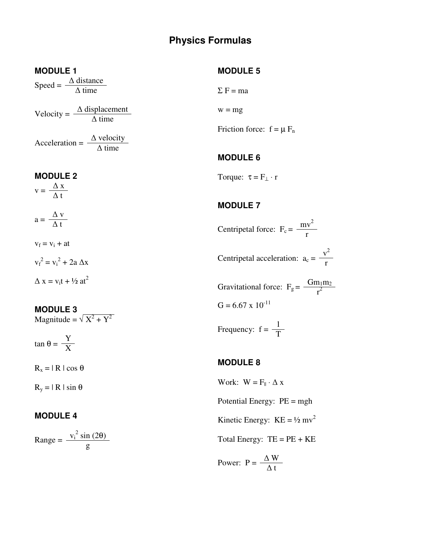# **Physics Formulas**

#### **MODULE 1**

Speed =  $\frac{\Delta \text{ distance}}{\Delta \text{ time}}$ 

Velocity =  $\frac{\Delta \text{ displacement}}{\Delta \text{ time}}$ 

Acceleration =  $\frac{\Delta \text{ velocity}}{\Delta \text{ time}}$ 

#### **MODULE 2**

 $v = \frac{\Delta x}{\Delta t}$ 

 $a = \frac{\Delta v}{\Delta t}$ 

 $v_f = v_i + at$ 

 $v_f^2 = v_i^2 + 2a \Delta x$  $\Delta x = v_1 t + \frac{1}{2} at^2$ 

**MODULE 3** 

Magnitude =  $\sqrt{X^2 + Y^2}$ 

tan θ =  $\frac{Y}{X}$ 

 $R_x = |R| \cos \theta$ 

 $R_v = | R | \sin \theta$ 

# **MODULE 4**

Range =  $\frac{v_i^2 \sin(2\theta)}{g}$ 

## **MODULE 5**

$$
\Sigma F = ma
$$

 $w = mg$ 

Friction force:  $f = \mu F_n$ 

# **MODULE 6**

Torque:  $\tau = F_{\perp} \cdot r$ 

# **MODULE 7**

Centripetal force:  $F_c = \frac{mv^2}{r}$  $v^2$ Centripetal acceleration:  $a_c = \frac{v}{r}$ Gravitational force:  $F_g = \frac{Gm_1m_2}{r^2}$  $G = 6.67 \times 10^{-11}$ 

Frequency:  $f = \frac{1}{T}$ 

## **MODULE 8**

Work:  $W = F_{\parallel} \cdot \Delta x$ Potential Energy: PE = mgh Kinetic Energy:  $KE = \frac{1}{2} mv^2$ Total Energy: TE = PE + KE Power:  $P = \frac{\Delta W}{\Delta t}$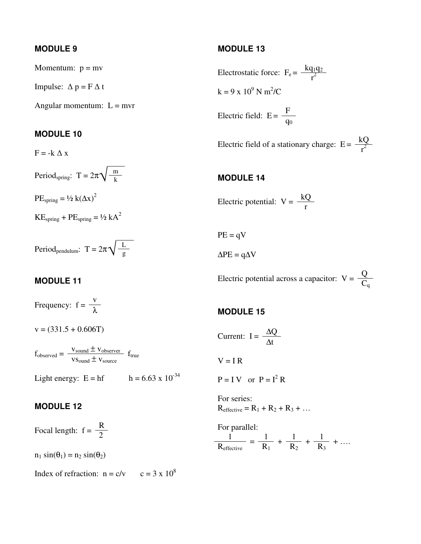# **MODULE 9**

Momentum:  $p = mv$ 

Impulse:  $\Delta p = F \Delta t$ 

Angular momentum:  $L = mvr$ 

#### **MODULE 10**

 $F = -k \Delta x$ 

Period<sub>spring</sub>: T =  $2\pi\sqrt{\frac{m}{k}}$ 

 $PE_{spring} = \frac{1}{2} k(\Delta x)^2$ 

 $KE<sub>spring</sub> + PE<sub>spring</sub> = 1/2 kA<sup>2</sup>$ 

Period<sub>pendulum</sub>: T =  $2\pi \sqrt{\frac{L}{g}}$ 

## **MODULE 11**

Frequency:  $f = \frac{v}{\lambda}$ 

 $v = (331.5 + 0.606T)$ 

 $f_{observed} = \frac{V_{sound} \pm V_{observer}}{V_{ion} \pm V_{observer}}$  $\frac{v_{\text{sound}} - v_{\text{observer}}}{v_{\text{Sound}} + v_{\text{source}}}$  f<sub>true</sub>

Light energy:  $E = hf$   $h = 6.63 \times 10^{-34}$ 

#### **MODULE 12**

Focal length:  $f = \frac{R}{2}$ 

 $n_1 \sin(\theta_1) = n_2 \sin(\theta_2)$ 

Index of refraction:  $n = c/v$   $c = 3 x 10^8$ 

### **MODULE 13**

Electrostatic force:  $F_e = \frac{kq_1q_2}{r^2}$  $k = 9 \times 10^9$  N m<sup>2</sup>/C Electric field:  $E = \frac{F}{q_0}$ 

Electric field of a stationary charge:  $E = \frac{kQ}{r^2}$ 

### **MODULE 14**

Electric potential:  $V = \frac{kQ}{r}$ 

$$
PE = qV
$$

 $\Delta PE = q \Delta V$ 

Electric potential across a capacitor:  $V = \frac{Q}{C_q}$ 

## **MODULE 15**

$$
Current: I = \frac{\Delta Q}{\Delta t}
$$

 $V = I R$ 

 $P = I V$  or  $P = I^2 R$ 

For series:  $R_{effective} = R_1 + R_2 + R_3 + ...$ 

For parallel:  $1 \t 1 \t 1 \t 1$  $\frac{1}{R_{\text{effective}}} = \frac{1}{R_1} + \frac{1}{R_2} + \frac{1}{R_3} + \dots$